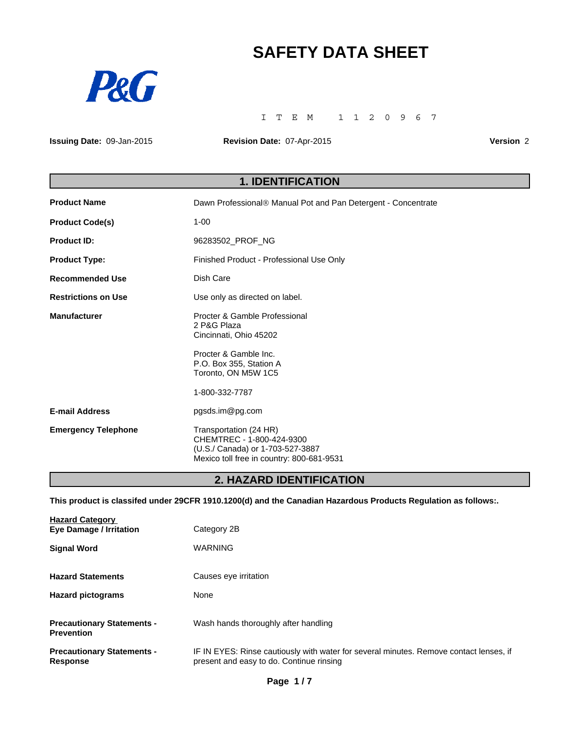# **SAFETY DATA SHEET**



ITEM 1120967

**Issuing Date:** 09-Jan-2015

**Revision Date:** 07-Apr-2015

**Version** 2

# **1. IDENTIFICATION**

| <b>Product Name</b>        | Dawn Professional® Manual Pot and Pan Detergent - Concentrate                                                                        |
|----------------------------|--------------------------------------------------------------------------------------------------------------------------------------|
| <b>Product Code(s)</b>     | $1 - 00$                                                                                                                             |
| <b>Product ID:</b>         | 96283502 PROF NG                                                                                                                     |
| <b>Product Type:</b>       | Finished Product - Professional Use Only                                                                                             |
| <b>Recommended Use</b>     | Dish Care                                                                                                                            |
| <b>Restrictions on Use</b> | Use only as directed on label.                                                                                                       |
| <b>Manufacturer</b>        | Procter & Gamble Professional<br>2 P&G Plaza<br>Cincinnati, Ohio 45202                                                               |
|                            | Procter & Gamble Inc.<br>P.O. Box 355, Station A<br>Toronto, ON M5W 1C5                                                              |
|                            | 1-800-332-7787                                                                                                                       |
| <b>E-mail Address</b>      | pgsds.im@pg.com                                                                                                                      |
| <b>Emergency Telephone</b> | Transportation (24 HR)<br>CHEMTREC - 1-800-424-9300<br>(U.S./ Canada) or 1-703-527-3887<br>Mexico toll free in country: 800-681-9531 |

# **2. HAZARD IDENTIFICATION**

**This product is classifed under 29CFR 1910.1200(d) and the Canadian Hazardous Products Regulation as follows:.**

| <b>Hazard Category</b><br><b>Eye Damage / Irritation</b> | Category 2B                                                                                                                        |
|----------------------------------------------------------|------------------------------------------------------------------------------------------------------------------------------------|
| <b>Signal Word</b>                                       | <b>WARNING</b>                                                                                                                     |
| <b>Hazard Statements</b>                                 | Causes eye irritation                                                                                                              |
| <b>Hazard pictograms</b>                                 | None                                                                                                                               |
| <b>Precautionary Statements -</b><br><b>Prevention</b>   | Wash hands thoroughly after handling                                                                                               |
| <b>Precautionary Statements -</b><br><b>Response</b>     | IF IN EYES: Rinse cautiously with water for several minutes. Remove contact lenses, if<br>present and easy to do. Continue rinsing |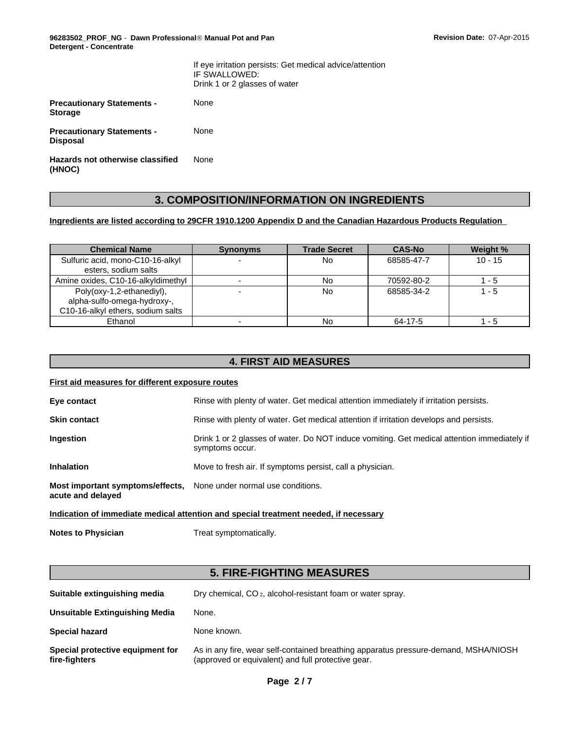**96283502\_PROF\_NG** - **Dawn ProfessionalÒ Manual Pot and Pan Detergent - Concentrate**

|                                                      | If eye irritation persists: Get medical advice/attention<br>IF SWALLOWED:<br>Drink 1 or 2 glasses of water |
|------------------------------------------------------|------------------------------------------------------------------------------------------------------------|
| <b>Precautionary Statements -</b><br><b>Storage</b>  | None                                                                                                       |
| <b>Precautionary Statements -</b><br><b>Disposal</b> | None                                                                                                       |
| Hazards not otherwise classified<br>(HNOC)           | None                                                                                                       |

# **3. COMPOSITION/INFORMATION ON INGREDIENTS**

#### **Ingredients are listed according to 29CFR 1910.1200 Appendix D and the Canadian Hazardous Products Regulation**

| <b>Chemical Name</b>                                                                          | <b>Synonyms</b> | <b>Trade Secret</b> | <b>CAS-No</b> | Weight %  |
|-----------------------------------------------------------------------------------------------|-----------------|---------------------|---------------|-----------|
| Sulfuric acid, mono-C10-16-alkyl<br>esters, sodium salts                                      |                 | No                  | 68585-47-7    | $10 - 15$ |
| Amine oxides, C10-16-alkyldimethyl                                                            |                 | <b>No</b>           | 70592-80-2    | $1 - 5$   |
| Poly(oxy-1,2-ethanediyl),<br>alpha-sulfo-omega-hydroxy-,<br>C10-16-alkyl ethers, sodium salts |                 | <b>No</b>           | 68585-34-2    | $1 - 5$   |
| Ethanol                                                                                       | -               | No                  | 64-17-5       | $1 - 5$   |

# **4. FIRST AID MEASURES**

#### **First aid measures for different exposure routes**

| Eye contact                                           | Rinse with plenty of water. Get medical attention immediately if irritation persists.                          |
|-------------------------------------------------------|----------------------------------------------------------------------------------------------------------------|
| <b>Skin contact</b>                                   | Rinse with plenty of water. Get medical attention if irritation develops and persists.                         |
| <b>Ingestion</b>                                      | Drink 1 or 2 glasses of water. Do NOT induce vomiting. Get medical attention immediately if<br>symptoms occur. |
| <b>Inhalation</b>                                     | Move to fresh air. If symptoms persist, call a physician.                                                      |
| Most important symptoms/effects,<br>acute and delayed | None under normal use conditions.                                                                              |
|                                                       |                                                                                                                |

#### **Indication of immediate medical attention and special treatment needed, if necessary**

**Notes to Physician** Treat symptomatically.

# **5. FIRE-FIGHTING MEASURES**

| Suitable extinguishing media                      | Dry chemical, CO <sub>2</sub> , alcohol-resistant foam or water spray.                                                                    |
|---------------------------------------------------|-------------------------------------------------------------------------------------------------------------------------------------------|
| Unsuitable Extinguishing Media                    | None.                                                                                                                                     |
| <b>Special hazard</b>                             | None known.                                                                                                                               |
| Special protective equipment for<br>fire-fighters | As in any fire, wear self-contained breathing apparatus pressure-demand, MSHA/NIOSH<br>(approved or equivalent) and full protective gear. |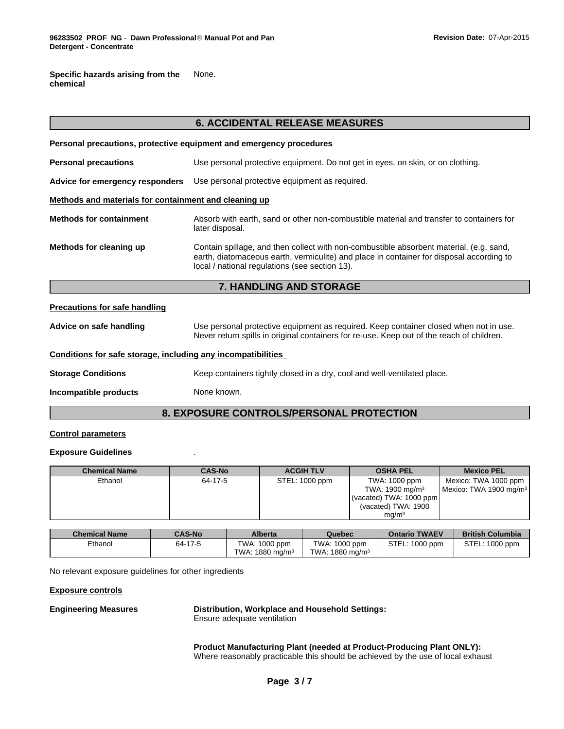**Specific hazards arising from the chemical** None.

|                                                              | <b>6. ACCIDENTAL RELEASE MEASURES</b>                                                                                                                                                                                                 |  |
|--------------------------------------------------------------|---------------------------------------------------------------------------------------------------------------------------------------------------------------------------------------------------------------------------------------|--|
|                                                              | Personal precautions, protective equipment and emergency procedures                                                                                                                                                                   |  |
| <b>Personal precautions</b>                                  | Use personal protective equipment. Do not get in eyes, on skin, or on clothing.                                                                                                                                                       |  |
| Advice for emergency responders                              | Use personal protective equipment as required.                                                                                                                                                                                        |  |
| Methods and materials for containment and cleaning up        |                                                                                                                                                                                                                                       |  |
| <b>Methods for containment</b>                               | Absorb with earth, sand or other non-combustible material and transfer to containers for<br>later disposal.                                                                                                                           |  |
| Methods for cleaning up                                      | Contain spillage, and then collect with non-combustible absorbent material, (e.g. sand,<br>earth, diatomaceous earth, vermiculite) and place in container for disposal according to<br>local / national regulations (see section 13). |  |
|                                                              | 7. HANDLING AND STORAGE                                                                                                                                                                                                               |  |
| <b>Precautions for safe handling</b>                         |                                                                                                                                                                                                                                       |  |
| Advice on safe handling                                      | Use personal protective equipment as required. Keep container closed when not in use.<br>Never return spills in original containers for re-use. Keep out of the reach of children.                                                    |  |
| Conditions for safe storage, including any incompatibilities |                                                                                                                                                                                                                                       |  |
| <b>Storage Conditions</b>                                    | Keep containers tightly closed in a dry, cool and well-ventilated place.                                                                                                                                                              |  |
| Incompatible products                                        | None known.                                                                                                                                                                                                                           |  |
|                                                              | 8. EXPOSURE CONTROLS/PERSONAL PROTECTION                                                                                                                                                                                              |  |

#### **Control parameters**

#### **Exposure Guidelines** .

| <b>Chemical Name</b> | <b>CAS-No</b> | <b>ACGIH TLV</b> | <b>OSHA PEL</b>            | <b>Mexico PEL</b>                  |
|----------------------|---------------|------------------|----------------------------|------------------------------------|
| Ethanol              | 64-17-5       | STEL: 1000 ppm   | TWA: 1000 ppm              | Mexico: TWA 1000 ppm               |
|                      |               |                  | TWA: $1900 \text{ mg/m}^3$ | Mexico: TWA 1900 mg/m <sup>3</sup> |
|                      |               |                  | (vacated) TWA: 1000 ppm    |                                    |
|                      |               |                  | (vacated) TWA: 1900        |                                    |
|                      |               |                  | ma/m <sup>3</sup>          |                                    |

| <b>Chemical Name</b> | <b>CAS-No</b> | <b>Alberta</b>                 | Quebec                      | <b>Ontario TWAEV</b> | <b>British Columbia</b> |
|----------------------|---------------|--------------------------------|-----------------------------|----------------------|-------------------------|
| Ethanol              | 64-17-5       | TWA: 1000 ppm                  | TWA: 1000 ppm               | STEL:<br>1000 ppm    | STEL: 1000 ppm          |
|                      |               | 1880 ma/m <sup>3</sup><br>TWA: | TWA: 1880 mg/m <sup>3</sup> |                      |                         |

No relevant exposure guidelines for other ingredients

#### **Exposure controls**

### **Engineering Measures Distribution, Workplace and Household Settings:**

Ensure adequate ventilation

**Product Manufacturing Plant (needed at Product-Producing Plant ONLY):** Where reasonably practicable this should be achieved by the use of local exhaust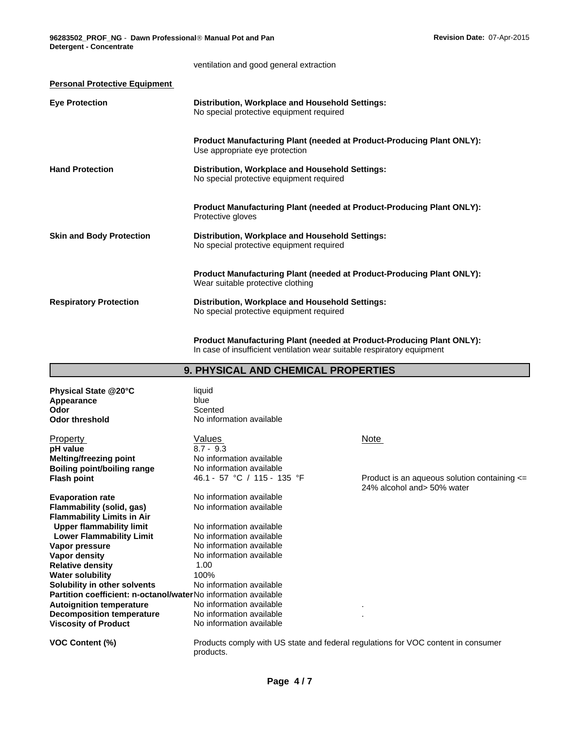|                                      | ventilation and good general extraction                                                                           |
|--------------------------------------|-------------------------------------------------------------------------------------------------------------------|
| <b>Personal Protective Equipment</b> |                                                                                                                   |
| <b>Eye Protection</b>                | Distribution, Workplace and Household Settings:<br>No special protective equipment required                       |
|                                      | <b>Product Manufacturing Plant (needed at Product-Producing Plant ONLY):</b><br>Use appropriate eye protection    |
| <b>Hand Protection</b>               | Distribution, Workplace and Household Settings:<br>No special protective equipment required                       |
|                                      | <b>Product Manufacturing Plant (needed at Product-Producing Plant ONLY):</b><br>Protective gloves                 |
| <b>Skin and Body Protection</b>      | Distribution, Workplace and Household Settings:<br>No special protective equipment required                       |
|                                      | <b>Product Manufacturing Plant (needed at Product-Producing Plant ONLY):</b><br>Wear suitable protective clothing |
| <b>Respiratory Protection</b>        | Distribution, Workplace and Household Settings:<br>No special protective equipment required                       |

**Product Manufacturing Plant (needed at Product-Producing Plant ONLY):** In case of insufficient ventilation wear suitable respiratory equipment

| Physical State @20°C<br>Appearance<br>Odor<br><b>Odor threshold</b> | liquid<br>blue<br>Scented<br>No information available |                                                                                   |
|---------------------------------------------------------------------|-------------------------------------------------------|-----------------------------------------------------------------------------------|
| <b>Property</b>                                                     | Values                                                | Note                                                                              |
| pH value                                                            | $8.7 - 9.3$                                           |                                                                                   |
| <b>Melting/freezing point</b>                                       | No information available                              |                                                                                   |
| <b>Boiling point/boiling range</b>                                  | No information available                              |                                                                                   |
| <b>Flash point</b>                                                  | 46.1 - 57 °C / 115 - 135 °F                           | Product is an aqueous solution containing <=<br>24% alcohol and> 50% water        |
| <b>Evaporation rate</b>                                             | No information available                              |                                                                                   |
| <b>Flammability (solid, gas)</b>                                    | No information available                              |                                                                                   |
| <b>Flammability Limits in Air</b>                                   |                                                       |                                                                                   |
| <b>Upper flammability limit</b>                                     | No information available                              |                                                                                   |
| <b>Lower Flammability Limit</b>                                     | No information available                              |                                                                                   |
| Vapor pressure                                                      | No information available                              |                                                                                   |
| Vapor density                                                       | No information available                              |                                                                                   |
| <b>Relative density</b>                                             | 1.00                                                  |                                                                                   |
| <b>Water solubility</b>                                             | 100%                                                  |                                                                                   |
| Solubility in other solvents                                        | No information available                              |                                                                                   |
| Partition coefficient: n-octanol/waterNo information available      |                                                       |                                                                                   |
| <b>Autoignition temperature</b>                                     | No information available                              |                                                                                   |
| <b>Decomposition temperature</b>                                    | No information available                              |                                                                                   |
| <b>Viscosity of Product</b>                                         | No information available                              |                                                                                   |
| <b>VOC Content (%)</b>                                              | products.                                             | Products comply with US state and federal regulations for VOC content in consumer |

# **9. PHYSICAL AND CHEMICAL PROPERTIES**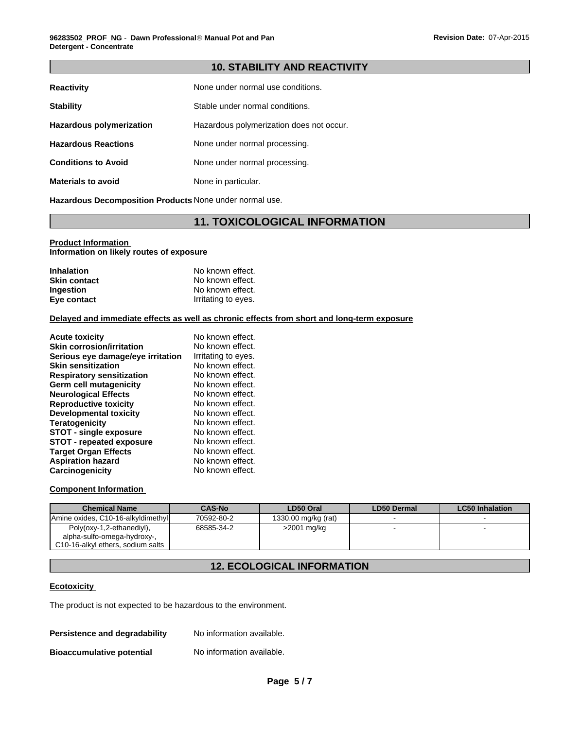#### **10. STABILITY AND REACTIVITY**

| <b>Reactivity</b>          | None under normal use conditions.        |
|----------------------------|------------------------------------------|
| <b>Stability</b>           | Stable under normal conditions.          |
| Hazardous polymerization   | Hazardous polymerization does not occur. |
| <b>Hazardous Reactions</b> | None under normal processing.            |
| <b>Conditions to Avoid</b> | None under normal processing.            |
| <b>Materials to avoid</b>  | None in particular.                      |

**Hazardous Decomposition Products** None under normal use.

### **11. TOXICOLOGICAL INFORMATION**

#### **Product Information Information on likely routes of exposure**

| <b>Inhalation</b>   | No known effect.    |
|---------------------|---------------------|
| <b>Skin contact</b> | No known effect.    |
| Ingestion           | No known effect.    |
| Eye contact         | Irritating to eyes. |

#### **Delayed and immediate effects as well as chronic effects from short and long-term exposure**

| <b>Acute toxicity</b>             | No known effect.    |
|-----------------------------------|---------------------|
| <b>Skin corrosion/irritation</b>  | No known effect.    |
| Serious eye damage/eye irritation | Irritating to eyes. |
| <b>Skin sensitization</b>         | No known effect.    |
| <b>Respiratory sensitization</b>  | No known effect.    |
| Germ cell mutagenicity            | No known effect.    |
| <b>Neurological Effects</b>       | No known effect.    |
| <b>Reproductive toxicity</b>      | No known effect.    |
| <b>Developmental toxicity</b>     | No known effect.    |
| <b>Teratogenicity</b>             | No known effect.    |
| <b>STOT - single exposure</b>     | No known effect.    |
| <b>STOT - repeated exposure</b>   | No known effect.    |
| <b>Target Organ Effects</b>       | No known effect.    |
| <b>Aspiration hazard</b>          | No known effect.    |
| Carcinogenicity                   | No known effect.    |

#### **Component Information**

| <b>Chemical Name</b>               | <b>CAS-No</b> | LD50 Oral           | LD50 Dermal | LC50 Inhalation |
|------------------------------------|---------------|---------------------|-------------|-----------------|
| Amine oxides, C10-16-alkyldimethyl | 70592-80-2    | 1330.00 mg/kg (rat) |             |                 |
| Poly(oxy-1,2-ethanediyl),          | 68585-34-2    | >2001 mg/kg         |             |                 |
| alpha-sulfo-omega-hydroxy-,        |               |                     |             |                 |
| C10-16-alkyl ethers, sodium salts  |               |                     |             |                 |

# **12. ECOLOGICAL INFORMATION**

#### **Ecotoxicity**

The product is not expected to be hazardous to the environment.

| Persistence and degradability    | No information available. |
|----------------------------------|---------------------------|
| <b>Bioaccumulative potential</b> | No information available. |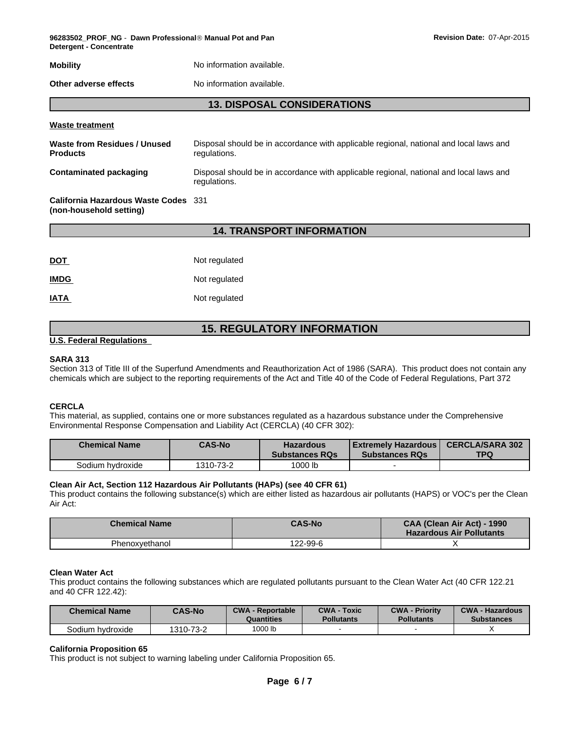**96283502\_PROF\_NG** - **Dawn ProfessionalÒ Manual Pot and Pan Detergent - Concentrate**

| <b>Mobility</b> | No information available. |
|-----------------|---------------------------|
|                 |                           |

**Other adverse effects** No information available.

#### **13. DISPOSAL CONSIDERATIONS**

#### **Waste treatment**

| Waste from Residues / Unused<br><b>Products</b>                        | Disposal should be in accordance with applicable regional, national and local laws and<br>regulations. |
|------------------------------------------------------------------------|--------------------------------------------------------------------------------------------------------|
| Contaminated packaging                                                 | Disposal should be in accordance with applicable regional, national and local laws and<br>regulations. |
| <b>California Hazardous Waste Codes</b> 331<br>(non-household setting) |                                                                                                        |

#### **14. TRANSPORT INFORMATION**

| <u>DOT</u>  | Not regulated |
|-------------|---------------|
| <b>IMDG</b> | Not regulated |
| <b>IATA</b> | Not regulated |

# **15. REGULATORY INFORMATION**

#### **U.S. Federal Regulations**

#### **SARA 313**

Section 313 of Title III of the Superfund Amendments and Reauthorization Act of 1986 (SARA). This product does not contain any chemicals which are subject to the reporting requirements of the Act and Title 40 of the Code of Federal Regulations, Part 372

#### **CERCLA**

This material, as supplied, contains one or more substances regulated as a hazardous substance under the Comprehensive Environmental Response Compensation and Liability Act (CERCLA) (40 CFR 302):

| <b>Chemical Name</b> | <b>CAS-No</b> | <b>Hazardous</b><br><b>Substances RQs</b> | Extremely Hazardous  <br><b>Substances RQs</b> | <b>CERCLA/SARA 302</b><br><b>TPQ</b> |
|----------------------|---------------|-------------------------------------------|------------------------------------------------|--------------------------------------|
| Sodium hvdroxide     | 1310-73-2     | 1000 lb                                   |                                                |                                      |

#### **Clean Air Act, Section 112 Hazardous Air Pollutants (HAPs) (see 40 CFR 61)**

This product contains the following substance(s) which are either listed as hazardous air pollutants (HAPS) or VOC's per the Clean Air Act:

| <b>Chemical Name</b> | <b>CAS-No</b> | CAA (Clean Air Act) - 1990<br><b>Hazardous Air Pollutants</b> |
|----------------------|---------------|---------------------------------------------------------------|
| Phenoxvethanol       | 22-99-6       |                                                               |

#### **Clean Water Act**

This product contains the following substances which are regulated pollutants pursuant to the Clean Water Act (40 CFR 122.21 and 40 CFR 122.42):

| <b>Chemical Name</b> | <b>CAS-No</b> | <b>CWA - Reportable</b><br>Quantities | <b>CWA - Toxic</b><br>Pollutants | <b>CWA - Priority</b><br><b>Pollutants</b> | <b>CWA - Hazardous</b><br><b>Substances</b> |
|----------------------|---------------|---------------------------------------|----------------------------------|--------------------------------------------|---------------------------------------------|
| 3odium<br>hvdroxide  | 1310-73-2     | 1000 lb                               |                                  |                                            |                                             |

#### **California Proposition 65**

This product is not subject to warning labeling under California Proposition 65.